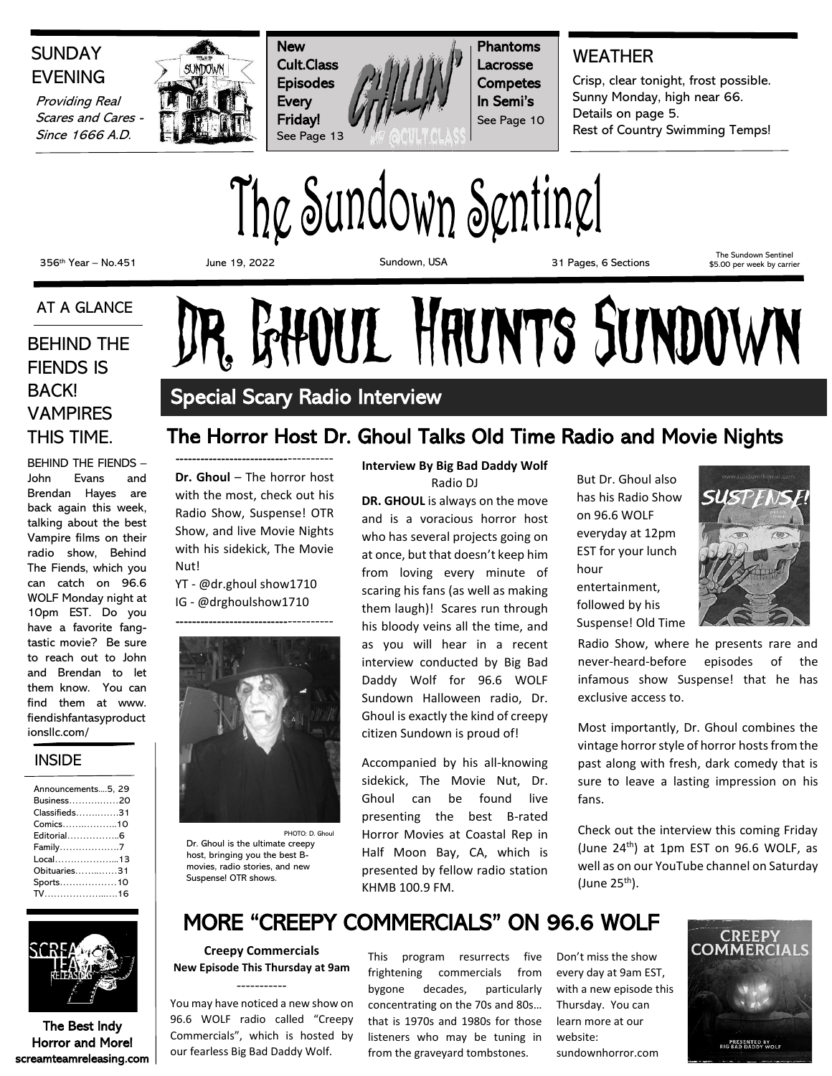

## The Sundown Sentinel

356th Year – No.451 June 19, 2022 Sundown, USA 31 Pages, 6 Sections

The Sundown Sentinel \$5.00 per week by carrier

## AT A GLANCE

FIENDS IS BACK! VAMPIRES THIS TIME.

BEHIND THE FIENDS – John Evans and Brendan Hayes are back again this week, talking about the best Vampire films on their radio show, Behind The Fiends, which you can catch on 96.6 WOLF Monday night at 10pm EST. Do you have a favorite fangtastic movie? Be sure to reach out to John and Brendan to let them know. You can find them at www. fiendishfantasyproduct ionsllc.com/

## **INSIDE**

| Announcements5, 29 |  |
|--------------------|--|
| Business20         |  |
| Classifieds31      |  |
| Comics10           |  |
| Editorial6         |  |
| Family7            |  |
| Local13            |  |
| Obituaries31       |  |
| Sports10           |  |
| $TV$ 16            |  |



The Best Indy Horror and More! screamteamreleasing.com

# AT A GLANCE DR. GHOUL HAUNTS SUNDOWN

## Special Scary Radio Interview

## The Horror Host Dr. Ghoul Talks Old Time Radio and Movie Nights

**---------------------------**---------- **Dr. Ghoul** – The horror host with the most, check out his Radio Show, Suspense! OTR Show, and live Movie Nights with his sidekick, The Movie Nut!

YT - @dr.ghoul show1710 IG - @drghoulshow1710



PHOTO: D. Ghoul Dr. Ghoul is the ultimate creepy host, bringing you the best Bmovies, radio stories, and new Suspense! OTR shows.

## **Interview By Big Bad Daddy Wolf**

Radio DJ **DR. GHOUL** is always on the move and is a voracious horror host who has several projects going on at once, but that doesn't keep him from loving every minute of scaring his fans (as well as making them laugh)! Scares run through his bloody veins all the time, and as you will hear in a recent interview conducted by Big Bad Daddy Wolf for 96.6 WOLF Sundown Halloween radio, Dr. Ghoul is exactly the kind of creepy citizen Sundown is proud of!

Accompanied by his all-knowing sidekick, The Movie Nut, Dr. Ghoul can be found live presenting the best B-rated Horror Movies at Coastal Rep in Half Moon Bay, CA, which is presented by fellow radio station KHMB 100.9 FM.

But Dr. Ghoul also has his Radio Show on 96.6 WOLF everyday at 12pm EST for your lunch hour entertainment, followed by his Suspense! Old Time



Radio Show, where he presents rare and never-heard-before episodes of the infamous show Suspense! that he has exclusive access to.

Most importantly, Dr. Ghoul combines the vintage horror style of horror hosts from the past along with fresh, dark comedy that is sure to leave a lasting impression on his fans.

Check out the interview this coming Friday (June  $24<sup>th</sup>$ ) at 1pm EST on 96.6 WOLF, as well as on our YouTube channel on Saturday (June  $25<sup>th</sup>$ ).

## MORE "CREEPY COMMERCIALS" ON 96.6 WOLF

**Creepy Commercials New Episode This Thursday at 9am** -----------

You may have noticed a new show on 96.6 WOLF radio called "Creepy Commercials", which is hosted by our fearless Big Bad Daddy Wolf.

This program resurrects five frightening commercials from bygone decades, particularly concentrating on the 70s and 80s… that is 1970s and 1980s for those listeners who may be tuning in from the graveyard tombstones.

Don't miss the show every day at 9am EST, with a new episode this Thursday. You can learn more at our website:

sundownhorror.com